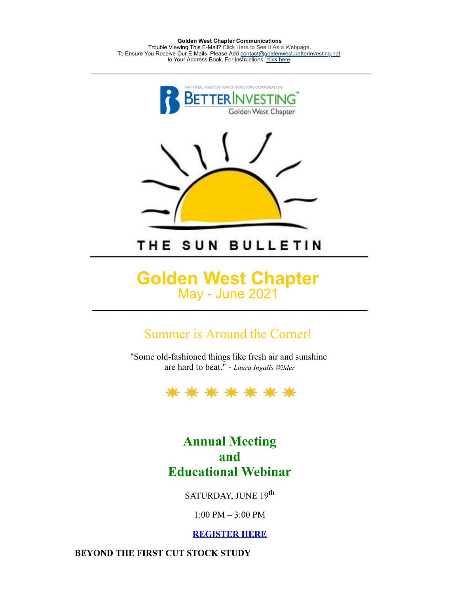**Golden West Chapter Communications** Trouble Viewing This E-Mail? [Click Here to See It As a Webpage.](https://lists.betterinvesting.org/display.php?M=2575420&C=303bad373250c96a4975847118bd08c1&L=175&N=15220) To Ensure You Receive Our E-Mails, Please Add [contact@goldenwest.betterinvesting.net](mailto:contact@goldenwest.betterinvesting.net) to Your Address Book. For instructions, [click here.](http://lists.betterinvesting.org/mailresources/images/whitelist/instructions.html)



# THE SUN BULLETIN

# **Golden West Chapter** May - June 2021

**\_\_\_\_\_\_\_\_\_\_\_\_\_\_\_\_\_\_\_\_\_\_\_\_\_\_\_\_\_\_\_\_\_\_\_\_\_\_\_\_\_\_\_\_\_\_\_\_\_**

## Summer is Around the Corner!

"Some old-fashioned things like fresh air and sunshine are hard to beat." - *Laura Ingalls Wilder*



## **Annual Meeting and Educational Webinar**

### SATURDAY, JUNE 19th

1:00 PM – 3:00 PM

**[REGISTER HERE](https://attendee.gotowebinar.com/register/2352965193471211787)**

**BEYOND THE FIRST CUT STOCK STUDY**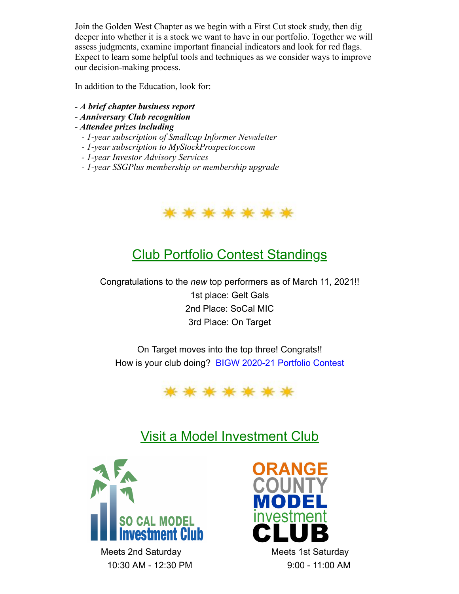Join the Golden West Chapter as we begin with a First Cut stock study, then dig deeper into whether it is a stock we want to have in our portfolio. Together we will assess judgments, examine important financial indicators and look for red flags. Expect to learn some helpful tools and techniques as we consider ways to improve our decision-making process.

In addition to the Education, look for:

- *- A brief chapter business report*
- *- Anniversary Club recognition*

*- Attendee prizes including*

- *1-year subscription of Smallcap Informer Newsletter*
- *1-year subscription to MyStockProspector.com*
- *1-year Investor Advisory Services*
- *1-year SSGPlus membership or membership upgrade*



# Club Portfolio Contest Standings

Congratulations to the *new* top performers as of March 11, 2021!! 1st place: Gelt Gals 2nd Place: SoCal MIC 3rd Place: On Target

On Target moves into the top three! Congrats!! How is your club doing? [BIGW 2020-21 Portfolio Contest](https://docs.google.com/spreadsheets/d/1fkNrsb4abRJS-piNQwSGFajA0l5YvYL5qoqiUynTWmA/edit#gid=1150469298)



# Visit a Model Investment Club



Meets 2nd Saturday Meets 1st Saturday 10:30 AM - 12:30 PM 9:00 - 11:00 AM

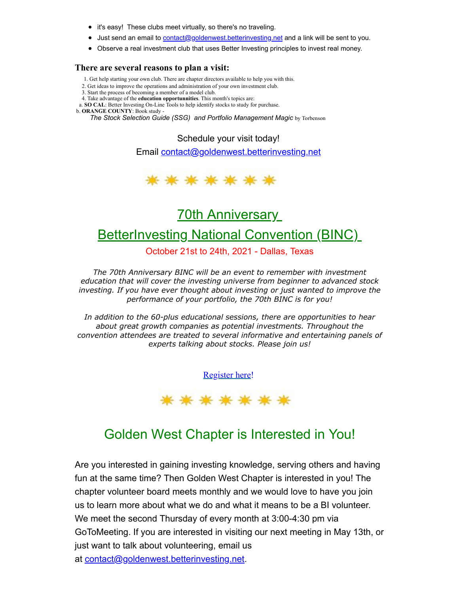- it's easy! These clubs meet virtually, so there's no traveling.
- **Just send an email to [contact@goldenwest.betterinvesting.net](mailto:contact@goldenwest.betterinvesting.net) and a link will be sent to you.**
- Observe a real investment club that uses Better Investing principles to invest real money.

#### **There are several reasons to plan a visit:**

- 1. Get help starting your own club. There are chapter directors available to help you with this.
- 2. Get ideas to improve the operations and administration of your own investment club.
- 3. Start the process of becoming a member of a model club.
- 4. Take advantage of the **education opportunnities**. This month's topics are:
- a. **SO CAL**: Better Investing On-Line Tools to help identify stocks to study for purchase.

b. **ORANGE COUNTY**: Book study -

*The Stock Selection Guide (SSG) and Portfolio Management Magic by Torbenson* 

Schedule your visit today!

Email [contact@goldenwest.betterinvesting.net](mailto:contact@goldenwest.betterinvesting.net)



## 70th Anniversary

## **BetterInvesting National Convention (BINC)**

October 21st to 24th, 2021 - Dallas, Texas

*The 70th Anniversary BINC will be an event to remember with investment education that will cover the investing universe from beginner to advanced stock investing. If you have ever thought about investing or just wanted to improve the performance of your portfolio, the 70th BINC is for you!*

*In addition to the 60-plus educational sessions, there are opportunities to hear about great growth companies as potential investments. Throughout the convention attendees are treated to several informative and entertaining panels of experts talking about stocks. Please join us!*

[Register](https://hello.betterinvesting.org/binc2021) here!



## Golden West Chapter is Interested in You!

Are you interested in gaining investing knowledge, serving others and having fun at the same time? Then Golden West Chapter is interested in you! The chapter volunteer board meets monthly and we would love to have you join us to learn more about what we do and what it means to be a BI volunteer. We meet the second Thursday of every month at 3:00-4:30 pm via GoToMeeting. If you are interested in visiting our next meeting in May 13th, or just want to talk about volunteering, email us at [contact@goldenwest.betterinvesting.net](mailto:contact@goldenwest.betterinvesting.net).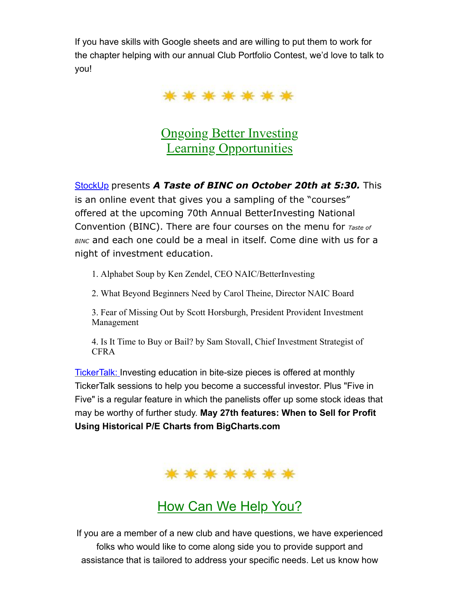If you have skills with Google sheets and are willing to put them to work for the chapter helping with our annual Club Portfolio Contest, we'd love to talk to you!



**Ongoing Better Investing** Learning Opportunities

[StockUp](https://www.betterinvesting.org/members/learning-center/stockup) presents *A Taste of BINC on October 20th at 5:30.* This is an online event that gives you a sampling of the "courses" offered at the upcoming 70th Annual BetterInvesting National Convention (BINC). There are four courses on the menu for *Taste of BINC* and each one could be a meal in itself. Come dine with us for a night of investment education.

1. Alphabet Soup by Ken Zendel, CEO NAIC/BetterInvesting

2. What Beyond Beginners Need by Carol Theine, Director NAIC Board

3. Fear of Missing Out by Scott Horsburgh, President Provident Investment Management

4. Is It Time to Buy or Bail? by Sam Stovall, Chief Investment Strategist of CFRA

[TickerTalk:](https://www.betterinvesting.org/members/learning-center/video-learning-library/video-library?p=2024) Investing education in bite-size pieces is offered at monthly TickerTalk sessions to help you become a successful investor. Plus "Five in Five" is a regular feature in which the panelists offer up some stock ideas that may be worthy of further study. **May 27th features: When to Sell for Profit Using Historical P/E Charts from BigCharts.com**

\*\*\*\*\*\*\*

How Can We Help You?

If you are a member of a new club and have questions, we have experienced folks who would like to come along side you to provide support and assistance that is tailored to address your specific needs. Let us know how